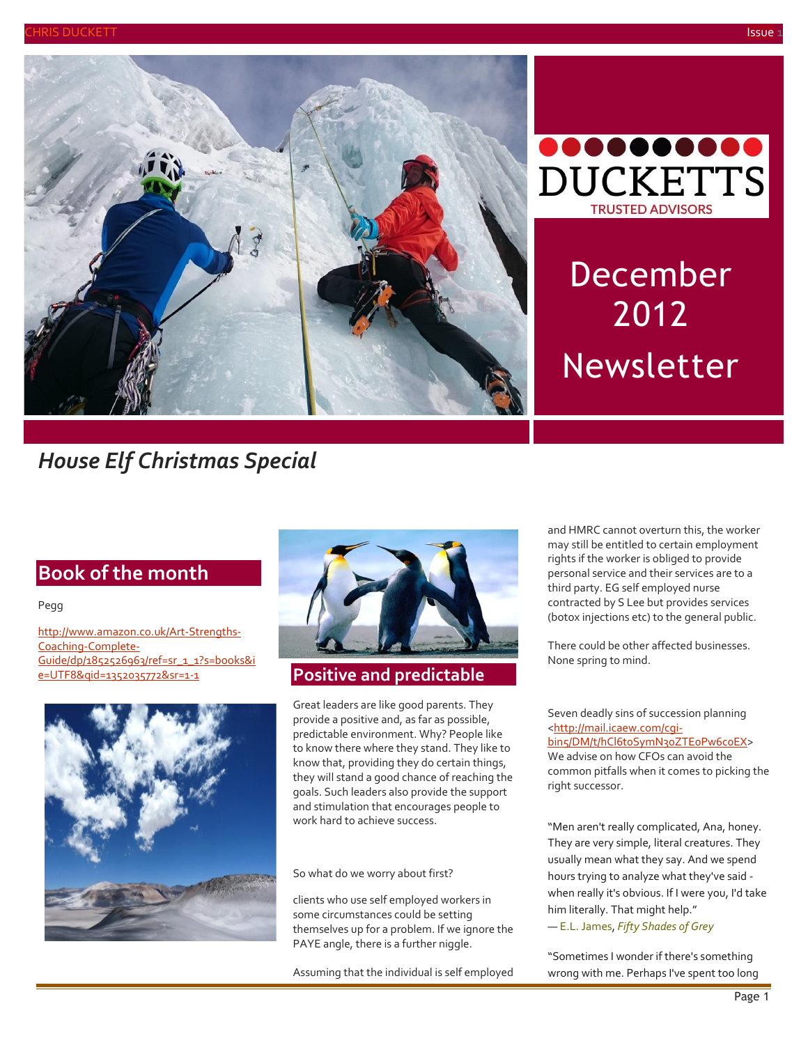



# December 2012 Newsletter

## *House Elf Christmas Special*

#### **Book of the month** by [Article Author]

#### Pegg

[http://www.amazon.co.uk/Art-Strengths-](http://www.amazon.co.uk/Art-Strengths-Coaching-Complete-Guide/dp/1852526963/ref=sr_1_1?s=books&ie=UTF8&qid=1352035772&sr=1-1)[Coaching-Complete-](http://www.amazon.co.uk/Art-Strengths-Coaching-Complete-Guide/dp/1852526963/ref=sr_1_1?s=books&ie=UTF8&qid=1352035772&sr=1-1)[Guide/dp/1852526963/ref=sr\\_1\\_1?s=books&i](http://www.amazon.co.uk/Art-Strengths-Coaching-Complete-Guide/dp/1852526963/ref=sr_1_1?s=books&ie=UTF8&qid=1352035772&sr=1-1) [e=UTF8&qid=1352035772&sr=1-1](http://www.amazon.co.uk/Art-Strengths-Coaching-Complete-Guide/dp/1852526963/ref=sr_1_1?s=books&ie=UTF8&qid=1352035772&sr=1-1) **Positive and predictable**





Great leaders are like good parents. They provide a positive and, as far as possible, predictable environment. Why? People like to know there where they stand. They like to know that, providing they do certain things, they will stand a good chance of reaching the goals. Such leaders also provide the support and stimulation that encourages people to work hard to achieve success.

So what do we worry about first?

clients who use self employed workers in some circumstances could be setting themselves up for a problem. If we ignore the PAYE angle, there is a further niggle.

Assuming that the individual is self employed

and HMRC cannot overturn this, the worker may still be entitled to certain employment rights if the worker is obliged to provide personal service and their services are to a third party. EG self employed nurse contracted by S Lee but provides services (botox injections etc) to the general public.

There could be other affected businesses. None spring to mind.

Seven deadly sins of succession planning [<http://mail.icaew.com/cgi](http://mail.icaew.com/cgi-bin5/DM/t/hCl6t0SymN30ZTE0Pw6c0EX)[bin5/DM/t/hCl6t0SymN30ZTE0Pw6c0EX>](http://mail.icaew.com/cgi-bin5/DM/t/hCl6t0SymN30ZTE0Pw6c0EX) We advise on how CFOs can avoid the common pitfalls when it comes to picking the right successor.

"Men aren't really complicated, Ana, honey. They are very simple, literal creatures. They usually mean what they say. And we spend hours trying to analyze what they've said when really it's obvious. If I were you, I'd take him literally. That might help." ― [E.L. James,](http://www.goodreads.com/author/show/4725841.E_L_James) *[Fifty Shades of Grey](http://www.goodreads.com/work/quotes/15732562)*

"Sometimes I wonder if there's something wrong with me. Perhaps I've spent too long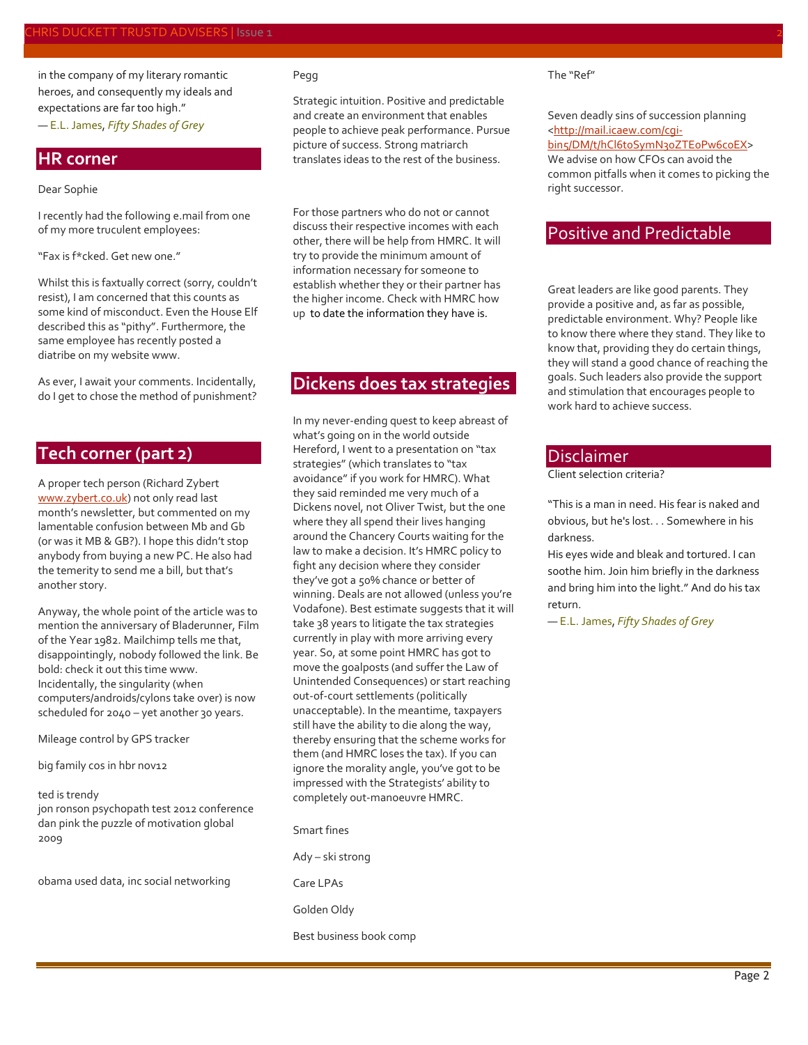in the company of my literary romantic heroes, and consequently my ideals and expectations are far too high." ― [E.L. James,](http://www.goodreads.com/author/show/4725841.E_L_James) *[Fifty Shades of Grey](http://www.goodreads.com/work/quotes/15732562)*

**HR corner**

#### Dear Sophie

I recently had the following e.mail from one of my more truculent employees:

"Fax is f\*cked. Get new one."

Whilst this is faxtually correct (sorry, couldn't resist), I am concerned that this counts as some kind of misconduct. Even the House Elf described this as "pithy". Furthermore, the same employee has recently posted a diatribe on my website www.

As ever, I await your comments. Incidentally, do I get to chose the method of punishment?

#### **Tech corner (part 2)**

A proper tech person (Richard Zybert [www.zybert.co.uk\)](http://www.zybert.co.uk/) not only read last month's newsletter, but commented on my lamentable confusion between Mb and Gb (or was it MB & GB?). I hope this didn't stop anybody from buying a new PC. He also had the temerity to send me a bill, but that's another story.

Anyway, the whole point of the article was to mention the anniversary of Bladerunner, Film of the Year 1982. Mailchimp tells me that, disappointingly, nobody followed the link. Be bold: check it out this time www. Incidentally, the singularity (when computers/androids/cylons take over) is now scheduled for 2040 – yet another 30 years.

Mileage control by GPS tracker

big family cos in hbr nov12

#### ted is trendy

jon ronson psychopath test 2012 conference dan pink the puzzle of motivation global 2009

obama used data, inc social networking

#### Pegg

Strategic intuition. Positive and predictable and create an environment that enables people to achieve peak performance. Pursue picture of success. Strong matriarch translates ideas to the rest of the business.

For those partners who do not or cannot discuss their respective incomes with each other, there will be help from HMRC. It will try to provide the minimum amount of information necessary for someone to establish whether they or their partner has the higher income. Check with HMRC how up to date the information they have is.

### **Dickens does tax strategies**

In my never-ending quest to keep abreast of what's going on in the world outside Hereford, I went to a presentation on "tax strategies" (which translates to "tax avoidance" if you work for HMRC). What they said reminded me very much of a Dickens novel, not Oliver Twist, but the one where they all spend their lives hanging around the Chancery Courts waiting for the law to make a decision. It's HMRC policy to fight any decision where they consider they've got a 50% chance or better of winning. Deals are not allowed (unless you're Vodafone). Best estimate suggests that it will take 38 years to litigate the tax strategies currently in play with more arriving every year. So, at some point HMRC has got to move the goalposts (and suffer the Law of Unintended Consequences) or start reaching out-of-court settlements (politically unacceptable). In the meantime, taxpayers still have the ability to die along the way, thereby ensuring that the scheme works for them (and HMRC loses the tax). If you can ignore the morality angle, you've got to be impressed with the Strategists' ability to completely out-manoeuvre HMRC.

Smart fines Ady – ski strong Care LPAs Golden Oldy Best business book comp The "Ref"

right successor.

Seven deadly sins of succession planning [<http://mail.icaew.com/cgi](http://mail.icaew.com/cgi-bin5/DM/t/hCl6t0SymN30ZTE0Pw6c0EX)bin5/DM/t/hCl6toSymN30ZTE0Pw6c0EX> We advise on how CFOs can avoid the common pitfalls when it comes to picking the

#### Positive and Predictable

Great leaders are like good parents. They provide a positive and, as far as possible, predictable environment. Why? People like to know there where they stand. They like to know that, providing they do certain things, they will stand a good chance of reaching the goals. Such leaders also provide the support and stimulation that encourages people to work hard to achieve success.

#### **Disclaimer**

Client selection criteria?

"This is a man in need. His fear is naked and obvious, but he's lost. . . Somewhere in his darkness.

His eyes wide and bleak and tortured. I can soothe him. Join him briefly in the darkness and bring him into the light." And do his tax return.

― [E.L. James,](http://www.goodreads.com/author/show/4725841.E_L_James) *[Fifty Shades of Grey](http://www.goodreads.com/work/quotes/15732562)*